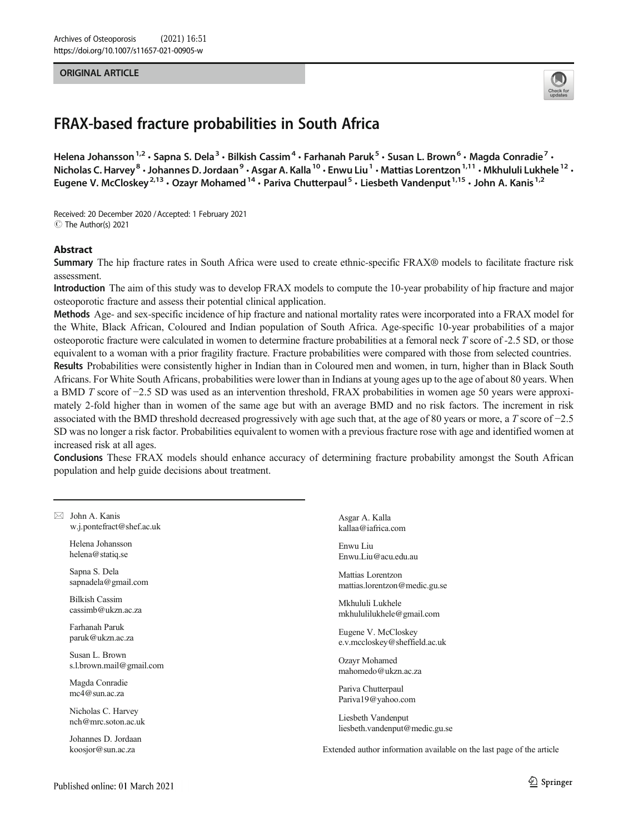#### ORIGINAL ARTICLE



# FRAX-based fracture probabilities in South Africa

Helena Johansson<sup>1,2</sup> · Sapna S. Dela<sup>3</sup> · Bilkish Cassim<sup>4</sup> · Farhanah Paruk<sup>5</sup> · Susan L. Brown<sup>6</sup> · Magda Conradie<sup>7</sup> · Nicholas C. Harvey<sup>8</sup> · Johannes D. Jordaan<sup>9</sup> · Asgar A. Kalla<sup>10</sup> · Enwu Liu<sup>1</sup> · Mattias Lorentzon<sup>1,11</sup> · Mkhululi Lukhele<sup>12</sup> · Eugene V. McCloskey<sup>2,13</sup> · Ozayr Mohamed<sup>14</sup> · Pariva Chutterpaul<sup>5</sup> · Liesbeth Vandenput<sup>1,15</sup> · John A. Kanis<sup>1,2</sup>

Received: 20 December 2020 /Accepted: 1 February 2021 C The Author(s) 2021

#### Abstract

Summary The hip fracture rates in South Africa were used to create ethnic-specific FRAX® models to facilitate fracture risk assessment.

Introduction The aim of this study was to develop FRAX models to compute the 10-year probability of hip fracture and major osteoporotic fracture and assess their potential clinical application.

Methods Age- and sex-specific incidence of hip fracture and national mortality rates were incorporated into a FRAX model for the White, Black African, Coloured and Indian population of South Africa. Age-specific 10-year probabilities of a major osteoporotic fracture were calculated in women to determine fracture probabilities at a femoral neck T score of -2.5 SD, or those equivalent to a woman with a prior fragility fracture. Fracture probabilities were compared with those from selected countries. Results Probabilities were consistently higher in Indian than in Coloured men and women, in turn, higher than in Black South Africans. For White South Africans, probabilities were lower than in Indians at young ages up to the age of about 80 years. When a BMD T score of −2.5 SD was used as an intervention threshold, FRAX probabilities in women age 50 years were approximately 2-fold higher than in women of the same age but with an average BMD and no risk factors. The increment in risk associated with the BMD threshold decreased progressively with age such that, at the age of 80 years or more, a T score of −2.5 SD was no longer a risk factor. Probabilities equivalent to women with a previous fracture rose with age and identified women at increased risk at all ages.

Conclusions These FRAX models should enhance accuracy of determining fracture probability amongst the South African population and help guide decisions about treatment.

 $\boxtimes$  John A. Kanis [w.j.pontefract@shef.ac.uk](mailto:w.j.pontefract@shef.ac.uk)

> Helena Johansson helena@statiq.se

Sapna S. Dela sapnadela@gmail.com

Bilkish Cassim cassimb@ukzn.ac.za

Farhanah Paruk paruk@ukzn.ac.za

Susan L. Brown s.l.brown.mail@gmail.com

Magda Conradie mc4@sun.ac.za

Nicholas C. Harvey nch@mrc.soton.ac.uk

Johannes D. Jordaan koosjor@sun.ac.za

Asgar A. Kalla kallaa@iafrica.com

Enwu Liu Enwu.Liu@acu.edu.au

Mattias Lorentzon mattias.lorentzon@medic.gu.se

Mkhululi Lukhele mkhululilukhele@gmail.com

Eugene V. McCloskey e.v.mccloskey@sheffield.ac.uk

Ozayr Mohamed mahomedo@ukzn.ac.za

Pariva Chutterpaul Pariva19@yahoo.com

Liesbeth Vandenput liesbeth.vandenput@medic.gu.se

Extended author information available on the last page of the article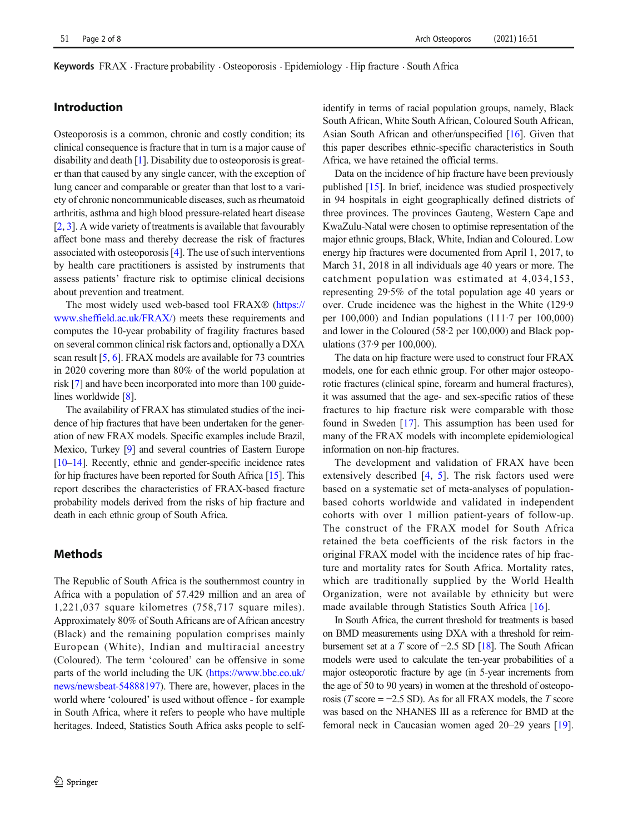**Keywords** FRAX  $\cdot$  Fracture probability  $\cdot$  Osteoporosis  $\cdot$  Epidemiology  $\cdot$  Hip fracture  $\cdot$  South Africa

## Introduction

Osteoporosis is a common, chronic and costly condition; its clinical consequence is fracture that in turn is a major cause of disability and death [[1\]](#page-5-0). Disability due to osteoporosis is greater than that caused by any single cancer, with the exception of lung cancer and comparable or greater than that lost to a variety of chronic noncommunicable diseases, such as rheumatoid arthritis, asthma and high blood pressure-related heart disease [\[2](#page-5-0), [3](#page-5-0)]. A wide variety of treatments is available that favourably affect bone mass and thereby decrease the risk of fractures associated with osteoporosis [\[4\]](#page-5-0). The use of such interventions by health care practitioners is assisted by instruments that assess patients' fracture risk to optimise clinical decisions about prevention and treatment.

The most widely used web-based tool FRAX® [\(https://](https://www.sheffield.ac.uk/FRAX/) [www.sheffield.ac.uk/FRAX/\)](https://www.sheffield.ac.uk/FRAX/) meets these requirements and computes the 10-year probability of fragility fractures based on several common clinical risk factors and, optionally a DXA scan result [\[5,](#page-5-0) [6](#page-5-0)]. FRAX models are available for 73 countries in 2020 covering more than 80% of the world population at risk [[7\]](#page-5-0) and have been incorporated into more than 100 guide-lines worldwide [\[8\]](#page-5-0).

The availability of FRAX has stimulated studies of the incidence of hip fractures that have been undertaken for the generation of new FRAX models. Specific examples include Brazil, Mexico, Turkey [\[9](#page-5-0)] and several countries of Eastern Europe [\[10](#page-5-0)–[14](#page-6-0)]. Recently, ethnic and gender-specific incidence rates for hip fractures have been reported for South Africa [\[15](#page-6-0)]. This report describes the characteristics of FRAX-based fracture probability models derived from the risks of hip fracture and death in each ethnic group of South Africa.

# **Methods**

The Republic of South Africa is the southernmost country in Africa with a population of 57.429 million and an area of 1,221,037 square kilometres (758,717 square miles). Approximately 80% of South Africans are of African ancestry (Black) and the remaining population comprises mainly European (White), Indian and multiracial ancestry (Coloured). The term 'coloured' can be offensive in some parts of the world including the UK [\(https://www.bbc.co.uk/](https://www.bbc.co.uk/news/newsbeat-54888197) [news/newsbeat-54888197\)](https://www.bbc.co.uk/news/newsbeat-54888197). There are, however, places in the world where 'coloured' is used without offence - for example in South Africa, where it refers to people who have multiple heritages. Indeed, Statistics South Africa asks people to selfidentify in terms of racial population groups, namely, Black South African, White South African, Coloured South African, Asian South African and other/unspecified [\[16](#page-6-0)]. Given that this paper describes ethnic-specific characteristics in South Africa, we have retained the official terms.

Data on the incidence of hip fracture have been previously published [\[15\]](#page-6-0). In brief, incidence was studied prospectively in 94 hospitals in eight geographically defined districts of three provinces. The provinces Gauteng, Western Cape and KwaZulu-Natal were chosen to optimise representation of the major ethnic groups, Black, White, Indian and Coloured. Low energy hip fractures were documented from April 1, 2017, to March 31, 2018 in all individuals age 40 years or more. The catchment population was estimated at 4,034,153, representing 29·5% of the total population age 40 years or over. Crude incidence was the highest in the White (129·9 per  $100,000$  and Indian populations  $(111.7 \text{ per } 100,000)$ and lower in the Coloured (58·2 per 100,000) and Black populations (37·9 per 100,000).

The data on hip fracture were used to construct four FRAX models, one for each ethnic group. For other major osteoporotic fractures (clinical spine, forearm and humeral fractures), it was assumed that the age- and sex-specific ratios of these fractures to hip fracture risk were comparable with those found in Sweden [[17](#page-6-0)]. This assumption has been used for many of the FRAX models with incomplete epidemiological information on non-hip fractures.

The development and validation of FRAX have been extensively described [[4](#page-5-0), [5](#page-5-0)]. The risk factors used were based on a systematic set of meta-analyses of populationbased cohorts worldwide and validated in independent cohorts with over 1 million patient-years of follow-up. The construct of the FRAX model for South Africa retained the beta coefficients of the risk factors in the original FRAX model with the incidence rates of hip fracture and mortality rates for South Africa. Mortality rates, which are traditionally supplied by the World Health Organization, were not available by ethnicity but were made available through Statistics South Africa [[16](#page-6-0)].

In South Africa, the current threshold for treatments is based on BMD measurements using DXA with a threshold for reimbursement set at a T score of  $-2.5$  SD [\[18\]](#page-6-0). The South African models were used to calculate the ten-year probabilities of a major osteoporotic fracture by age (in 5-year increments from the age of 50 to 90 years) in women at the threshold of osteoporosis (T score =  $-2.5$  SD). As for all FRAX models, the T score was based on the NHANES III as a reference for BMD at the femoral neck in Caucasian women aged 20–29 years [[19\]](#page-6-0).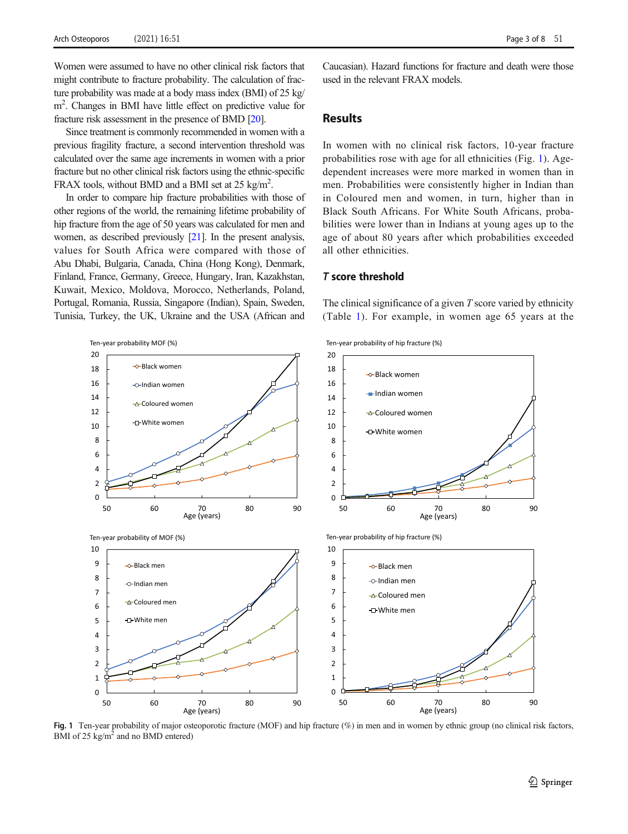Women were assumed to have no other clinical risk factors that might contribute to fracture probability. The calculation of fracture probability was made at a body mass index (BMI) of 25 kg/ m<sup>2</sup>. Changes in BMI have little effect on predictive value for fracture risk assessment in the presence of BMD [\[20](#page-6-0)].

Since treatment is commonly recommended in women with a previous fragility fracture, a second intervention threshold was calculated over the same age increments in women with a prior fracture but no other clinical risk factors using the ethnic-specific FRAX tools, without BMD and a BMI set at 25 kg/m<sup>2</sup>.

In order to compare hip fracture probabilities with those of other regions of the world, the remaining lifetime probability of hip fracture from the age of 50 years was calculated for men and women, as described previously [[21](#page-6-0)]. In the present analysis, values for South Africa were compared with those of Abu Dhabi, Bulgaria, Canada, China (Hong Kong), Denmark, Finland, France, Germany, Greece, Hungary, Iran, Kazakhstan, Kuwait, Mexico, Moldova, Morocco, Netherlands, Poland, Portugal, Romania, Russia, Singapore (Indian), Spain, Sweden, Tunisia, Turkey, the UK, Ukraine and the USA (African and

Caucasian). Hazard functions for fracture and death were those used in the relevant FRAX models.

### **Results**

In women with no clinical risk factors, 10-year fracture probabilities rose with age for all ethnicities (Fig. 1). Agedependent increases were more marked in women than in men. Probabilities were consistently higher in Indian than in Coloured men and women, in turn, higher than in Black South Africans. For White South Africans, probabilities were lower than in Indians at young ages up to the age of about 80 years after which probabilities exceeded all other ethnicities.

#### T score threshold

The clinical significance of a given  $T$  score varied by ethnicity (Table [1\)](#page-3-0). For example, in women age 65 years at the



Fig. 1 Ten-year probability of major osteoporotic fracture (MOF) and hip fracture (%) in men and in women by ethnic group (no clinical risk factors, BMI of 25 kg/m<sup>2</sup> and no BMD entered)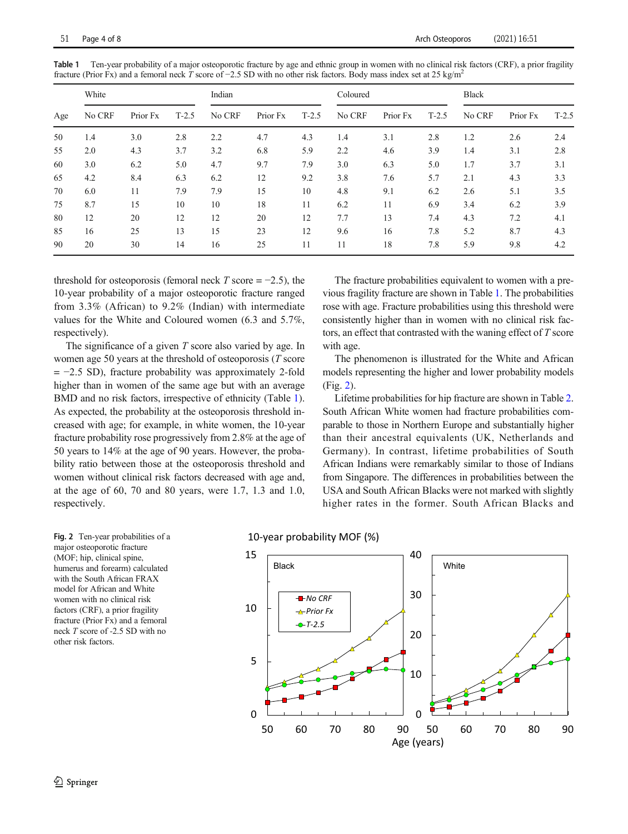| Age | White  |          |         | Indian |          |         | Coloured |          |         | <b>Black</b> |          |         |
|-----|--------|----------|---------|--------|----------|---------|----------|----------|---------|--------------|----------|---------|
|     | No CRF | Prior Fx | $T-2.5$ | No CRF | Prior Fx | $T-2.5$ | No CRF   | Prior Fx | $T-2.5$ | No CRF       | Prior Fx | $T-2.5$ |
| 50  | 1.4    | 3.0      | 2.8     | 2.2    | 4.7      | 4.3     | 1.4      | 3.1      | 2.8     | 1.2          | 2.6      | 2.4     |
| 55  | 2.0    | 4.3      | 3.7     | 3.2    | 6.8      | 5.9     | 2.2      | 4.6      | 3.9     | 1.4          | 3.1      | 2.8     |
| 60  | 3.0    | 6.2      | 5.0     | 4.7    | 9.7      | 7.9     | 3.0      | 6.3      | 5.0     | 1.7          | 3.7      | 3.1     |
| 65  | 4.2    | 8.4      | 6.3     | 6.2    | 12       | 9.2     | 3.8      | 7.6      | 5.7     | 2.1          | 4.3      | 3.3     |
| 70  | 6.0    | 11       | 7.9     | 7.9    | 15       | 10      | 4.8      | 9.1      | 6.2     | 2.6          | 5.1      | 3.5     |
| 75  | 8.7    | 15       | 10      | 10     | 18       | 11      | 6.2      | 11       | 6.9     | 3.4          | 6.2      | 3.9     |
| 80  | 12     | 20       | 12      | 12     | 20       | 12      | 7.7      | 13       | 7.4     | 4.3          | 7.2      | 4.1     |
| 85  | 16     | 25       | 13      | 15     | 23       | 12      | 9.6      | 16       | 7.8     | 5.2          | 8.7      | 4.3     |
| 90  | 20     | 30       | 14      | 16     | 25       | 11      | 11       | 18       | 7.8     | 5.9          | 9.8      | 4.2     |

<span id="page-3-0"></span>Table 1 Ten-year probability of a major osteoporotic fracture by age and ethnic group in women with no clinical risk factors (CRF), a prior fragility fracture (Prior Fx) and a femoral neck T score of -2.5 SD with no other risk factors. Body mass index set at 25 kg/m<sup>2</sup>

threshold for osteoporosis (femoral neck T score =  $-2.5$ ), the 10-year probability of a major osteoporotic fracture ranged from 3.3% (African) to 9.2% (Indian) with intermediate values for the White and Coloured women (6.3 and 5.7%, respectively).

The significance of a given  $T$  score also varied by age. In women age 50 years at the threshold of osteoporosis (T score  $= -2.5$  SD), fracture probability was approximately 2-fold higher than in women of the same age but with an average BMD and no risk factors, irrespective of ethnicity (Table 1). As expected, the probability at the osteoporosis threshold increased with age; for example, in white women, the 10-year fracture probability rose progressively from 2.8% at the age of 50 years to 14% at the age of 90 years. However, the probability ratio between those at the osteoporosis threshold and women without clinical risk factors decreased with age and, at the age of 60, 70 and 80 years, were 1.7, 1.3 and 1.0, respectively.

The fracture probabilities equivalent to women with a previous fragility fracture are shown in Table 1. The probabilities rose with age. Fracture probabilities using this threshold were consistently higher than in women with no clinical risk factors, an effect that contrasted with the waning effect of T score with age.

The phenomenon is illustrated for the White and African models representing the higher and lower probability models (Fig. 2).

Lifetime probabilities for hip fracture are shown in Table [2.](#page-4-0) South African White women had fracture probabilities comparable to those in Northern Europe and substantially higher than their ancestral equivalents (UK, Netherlands and Germany). In contrast, lifetime probabilities of South African Indians were remarkably similar to those of Indians from Singapore. The differences in probabilities between the USA and South African Blacks were not marked with slightly higher rates in the former. South African Blacks and

Fig. 2 Ten-year probabilities of a major osteoporotic fracture (MOF; hip, clinical spine, humerus and forearm) calculated with the South African FRAX model for African and White women with no clinical risk factors (CRF), a prior fragility fracture (Prior Fx) and a femoral neck T score of -2.5 SD with no other risk factors.

10-year probability MOF (%)

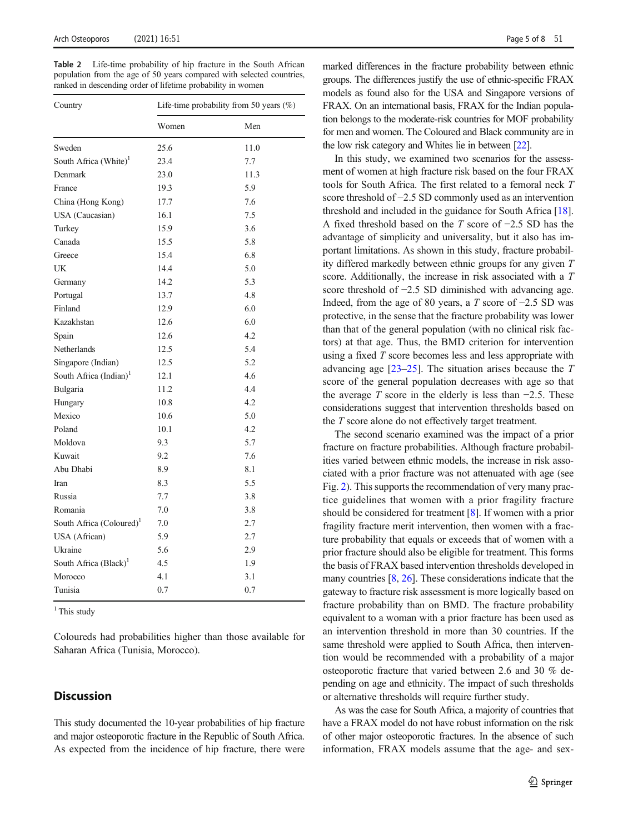<span id="page-4-0"></span>Table 2 Life-time probability of hip fracture in the South African population from the age of 50 years compared with selected countries, ranked in descending order of lifetime probability in women

| Country                              | Life-time probability from 50 years $(\%)$ |      |  |  |  |
|--------------------------------------|--------------------------------------------|------|--|--|--|
|                                      | Women                                      | Men  |  |  |  |
| Sweden                               | 25.6                                       | 11.0 |  |  |  |
| South Africa (White) <sup>1</sup>    | 23.4                                       | 7.7  |  |  |  |
| Denmark                              | 23.0                                       | 11.3 |  |  |  |
| France                               | 19.3                                       | 5.9  |  |  |  |
| China (Hong Kong)                    | 17.7                                       | 7.6  |  |  |  |
| USA (Caucasian)                      | 16.1                                       | 7.5  |  |  |  |
| Turkey                               | 15.9                                       | 3.6  |  |  |  |
| Canada                               | 15.5                                       | 5.8  |  |  |  |
| Greece                               | 15.4                                       | 6.8  |  |  |  |
| UK                                   | 14.4                                       | 5.0  |  |  |  |
| Germany                              | 14.2                                       | 5.3  |  |  |  |
| Portugal                             | 13.7                                       | 4.8  |  |  |  |
| Finland                              | 12.9                                       | 6.0  |  |  |  |
| Kazakhstan                           | 12.6                                       | 6.0  |  |  |  |
| Spain                                | 12.6                                       | 4.2  |  |  |  |
| Netherlands                          | 12.5                                       | 5.4  |  |  |  |
| Singapore (Indian)                   | 12.5                                       | 5.2  |  |  |  |
| South Africa (Indian) <sup>1</sup>   | 12.1                                       | 4.6  |  |  |  |
| Bulgaria                             | 11.2                                       | 4.4  |  |  |  |
| Hungary                              | 10.8                                       | 4.2  |  |  |  |
| Mexico                               | 10.6                                       | 5.0  |  |  |  |
| Poland                               | 10.1                                       | 4.2  |  |  |  |
| Moldova                              | 9.3                                        | 5.7  |  |  |  |
| Kuwait                               | 9.2                                        | 7.6  |  |  |  |
| Abu Dhabi                            | 8.9                                        | 8.1  |  |  |  |
| Iran                                 | 8.3                                        | 5.5  |  |  |  |
| Russia                               | 7.7                                        | 3.8  |  |  |  |
| Romania                              | 7.0                                        | 3.8  |  |  |  |
| South Africa (Coloured) <sup>1</sup> | 7.0                                        | 2.7  |  |  |  |
| USA (African)                        | 5.9                                        | 2.7  |  |  |  |
| Ukraine                              | 5.6                                        | 2.9  |  |  |  |
| South Africa (Black) <sup>1</sup>    | 4.5                                        | 1.9  |  |  |  |
| Morocco                              | 4.1                                        | 3.1  |  |  |  |
| Tunisia                              | 0.7                                        | 0.7  |  |  |  |

 $1$  This study

Coloureds had probabilities higher than those available for Saharan Africa (Tunisia, Morocco).

# **Discussion**

This study documented the 10-year probabilities of hip fracture and major osteoporotic fracture in the Republic of South Africa. As expected from the incidence of hip fracture, there were

marked differences in the fracture probability between ethnic groups. The differences justify the use of ethnic-specific FRAX models as found also for the USA and Singapore versions of FRAX. On an international basis, FRAX for the Indian population belongs to the moderate-risk countries for MOF probability for men and women. The Coloured and Black community are in the low risk category and Whites lie in between [\[22](#page-6-0)].

In this study, we examined two scenarios for the assessment of women at high fracture risk based on the four FRAX tools for South Africa. The first related to a femoral neck T score threshold of −2.5 SD commonly used as an intervention threshold and included in the guidance for South Africa [[18\]](#page-6-0). A fixed threshold based on the T score of −2.5 SD has the advantage of simplicity and universality, but it also has important limitations. As shown in this study, fracture probability differed markedly between ethnic groups for any given T score. Additionally, the increase in risk associated with a T score threshold of −2.5 SD diminished with advancing age. Indeed, from the age of 80 years, a T score of  $-2.5$  SD was protective, in the sense that the fracture probability was lower than that of the general population (with no clinical risk factors) at that age. Thus, the BMD criterion for intervention using a fixed T score becomes less and less appropriate with advancing age [\[23](#page-6-0)–[25\]](#page-6-0). The situation arises because the T score of the general population decreases with age so that the average T score in the elderly is less than  $-2.5$ . These considerations suggest that intervention thresholds based on the T score alone do not effectively target treatment.

The second scenario examined was the impact of a prior fracture on fracture probabilities. Although fracture probabilities varied between ethnic models, the increase in risk associated with a prior fracture was not attenuated with age (see Fig. [2](#page-3-0)). This supports the recommendation of very many practice guidelines that women with a prior fragility fracture should be considered for treatment [\[8\]](#page-5-0). If women with a prior fragility fracture merit intervention, then women with a fracture probability that equals or exceeds that of women with a prior fracture should also be eligible for treatment. This forms the basis of FRAX based intervention thresholds developed in many countries [\[8](#page-5-0), [26\]](#page-6-0). These considerations indicate that the gateway to fracture risk assessment is more logically based on fracture probability than on BMD. The fracture probability equivalent to a woman with a prior fracture has been used as an intervention threshold in more than 30 countries. If the same threshold were applied to South Africa, then intervention would be recommended with a probability of a major osteoporotic fracture that varied between 2.6 and 30 % depending on age and ethnicity. The impact of such thresholds or alternative thresholds will require further study.

As was the case for South Africa, a majority of countries that have a FRAX model do not have robust information on the risk of other major osteoporotic fractures. In the absence of such information, FRAX models assume that the age- and sex-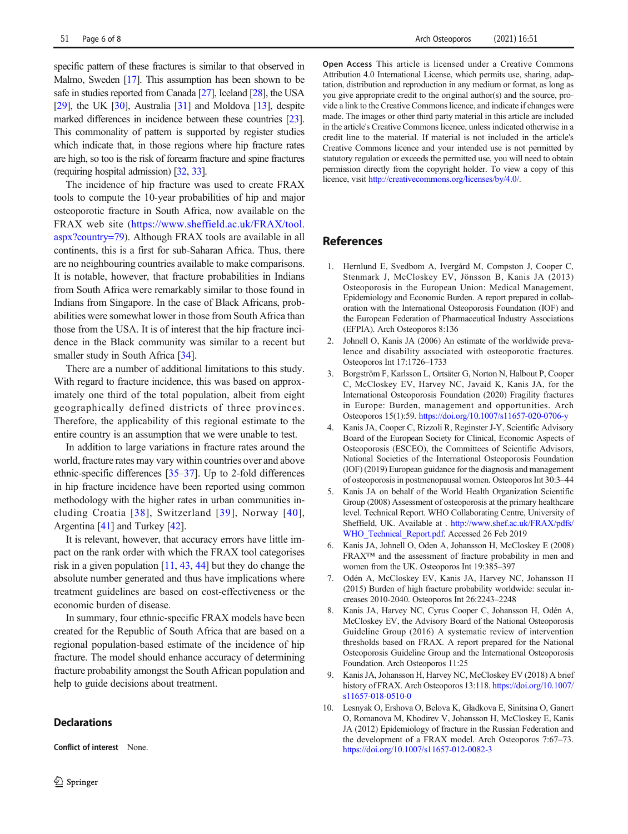<span id="page-5-0"></span>specific pattern of these fractures is similar to that observed in Malmo, Sweden [\[17\]](#page-6-0). This assumption has been shown to be safe in studies reported from Canada [\[27](#page-6-0)], Iceland [\[28](#page-6-0)], the USA [\[29\]](#page-6-0), the UK  $[30]$  $[30]$  $[30]$ , Australia  $[31]$  $[31]$  and Moldova  $[13]$  $[13]$  $[13]$ , despite marked differences in incidence between these countries [\[23\]](#page-6-0). This commonality of pattern is supported by register studies which indicate that, in those regions where hip fracture rates are high, so too is the risk of forearm fracture and spine fractures (requiring hospital admission) [\[32](#page-6-0), [33](#page-6-0)].

The incidence of hip fracture was used to create FRAX tools to compute the 10-year probabilities of hip and major osteoporotic fracture in South Africa, now available on the FRAX web site [\(https://www.sheffield.ac.uk/FRAX/tool.](https://www.sheffield.ac.uk/FRAX/tool.aspx?country=79) [aspx?country=79\)](https://www.sheffield.ac.uk/FRAX/tool.aspx?country=79). Although FRAX tools are available in all continents, this is a first for sub-Saharan Africa. Thus, there are no neighbouring countries available to make comparisons. It is notable, however, that fracture probabilities in Indians from South Africa were remarkably similar to those found in Indians from Singapore. In the case of Black Africans, probabilities were somewhat lower in those from South Africa than those from the USA. It is of interest that the hip fracture incidence in the Black community was similar to a recent but smaller study in South Africa [\[34](#page-6-0)].

There are a number of additional limitations to this study. With regard to fracture incidence, this was based on approximately one third of the total population, albeit from eight geographically defined districts of three provinces. Therefore, the applicability of this regional estimate to the entire country is an assumption that we were unable to test.

In addition to large variations in fracture rates around the world, fracture rates may vary within countries over and above ethnic-specific differences [\[35](#page-6-0)–[37](#page-6-0)]. Up to 2-fold differences in hip fracture incidence have been reported using common methodology with the higher rates in urban communities including Croatia [[38](#page-6-0)], Switzerland [\[39](#page-6-0)], Norway [[40](#page-6-0)], Argentina [\[41](#page-6-0)] and Turkey [[42](#page-6-0)].

It is relevant, however, that accuracy errors have little impact on the rank order with which the FRAX tool categorises risk in a given population  $[11, 43, 44]$  $[11, 43, 44]$  $[11, 43, 44]$  $[11, 43, 44]$  $[11, 43, 44]$  $[11, 43, 44]$  but they do change the absolute number generated and thus have implications where treatment guidelines are based on cost-effectiveness or the economic burden of disease.

In summary, four ethnic-specific FRAX models have been created for the Republic of South Africa that are based on a regional population-based estimate of the incidence of hip fracture. The model should enhance accuracy of determining fracture probability amongst the South African population and help to guide decisions about treatment.

#### **Declarations**

Conflict of interest None.

Open Access This article is licensed under a Creative Commons Attribution 4.0 International License, which permits use, sharing, adaptation, distribution and reproduction in any medium or format, as long as you give appropriate credit to the original author(s) and the source, provide a link to the Creative Commons licence, and indicate if changes were made. The images or other third party material in this article are included in the article's Creative Commons licence, unless indicated otherwise in a credit line to the material. If material is not included in the article's Creative Commons licence and your intended use is not permitted by statutory regulation or exceeds the permitted use, you will need to obtain permission directly from the copyright holder. To view a copy of this licence, visit <http://creativecommons.org/licenses/by/4.0/>.

# References

- 1. Hernlund E, Svedbom A, Ivergård M, Compston J, Cooper C, Stenmark J, McCloskey EV, Jönsson B, Kanis JA (2013) Osteoporosis in the European Union: Medical Management, Epidemiology and Economic Burden. A report prepared in collaboration with the International Osteoporosis Foundation (IOF) and the European Federation of Pharmaceutical Industry Associations (EFPIA). Arch Osteoporos 8:136
- 2. Johnell O, Kanis JA (2006) An estimate of the worldwide prevalence and disability associated with osteoporotic fractures. Osteoporos Int 17:1726–1733
- 3. Borgström F, Karlsson L, Ortsäter G, Norton N, Halbout P, Cooper C, McCloskey EV, Harvey NC, Javaid K, Kanis JA, for the International Osteoporosis Foundation (2020) Fragility fractures in Europe: Burden, management and opportunities. Arch Osteoporos 15(1):59. <https://doi.org/10.1007/s11657-020-0706-y>
- 4. Kanis JA, Cooper C, Rizzoli R, Reginster J-Y, Scientific Advisory Board of the European Society for Clinical, Economic Aspects of Osteoporosis (ESCEO), the Committees of Scientific Advisors, National Societies of the International Osteoporosis Foundation (IOF) (2019) European guidance for the diagnosis and management of osteoporosis in postmenopausal women. Osteoporos Int 30:3–44
- 5. Kanis JA on behalf of the World Health Organization Scientific Group (2008) Assessment of osteoporosis at the primary healthcare level. Technical Report. WHO Collaborating Centre, University of Sheffield, UK. Available at . [http://www.shef.ac.uk/FRAX/pdfs/](http://www.shef.ac.uk/FRAX/pdfs/WHO_Technical_Report.pdf) [WHO\\_Technical\\_Report.pdf.](http://www.shef.ac.uk/FRAX/pdfs/WHO_Technical_Report.pdf) Accessed 26 Feb 2019
- 6. Kanis JA, Johnell O, Oden A, Johansson H, McCloskey E (2008) FRAX™ and the assessment of fracture probability in men and women from the UK. Osteoporos Int 19:385–397
- 7. Odén A, McCloskey EV, Kanis JA, Harvey NC, Johansson H (2015) Burden of high fracture probability worldwide: secular increases 2010-2040. Osteoporos Int 26:2243–2248
- 8. Kanis JA, Harvey NC, Cyrus Cooper C, Johansson H, Odén A, McCloskey EV, the Advisory Board of the National Osteoporosis Guideline Group (2016) A systematic review of intervention thresholds based on FRAX. A report prepared for the National Osteoporosis Guideline Group and the International Osteoporosis Foundation. Arch Osteoporos 11:25
- 9. Kanis JA, Johansson H, Harvey NC, McCloskey EV (2018) A brief history of FRAX. Arch Osteoporos 13:118. [https://doi.org/10.1007/](https://doi.org/10.1007/s11657-018-0510-0) [s11657-018-0510-0](https://doi.org/10.1007/s11657-018-0510-0)
- 10. Lesnyak O, Ershova O, Belova K, Gladkova E, Sinitsina O, Ganert O, Romanova M, Khodirev V, Johansson H, McCloskey E, Kanis JA (2012) Epidemiology of fracture in the Russian Federation and the development of a FRAX model. Arch Osteoporos 7:67–73. <https://doi.org/10.1007/s11657-012-0082-3>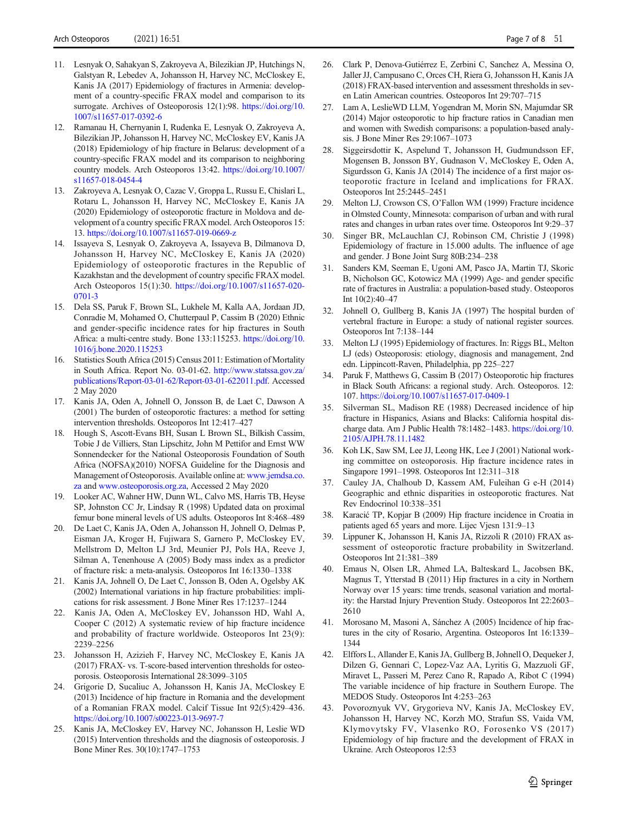- <span id="page-6-0"></span>11. Lesnyak O, Sahakyan S, Zakroyeva A, Bilezikian JP, Hutchings N, Galstyan R, Lebedev A, Johansson H, Harvey NC, McCloskey E, Kanis JA (2017) Epidemiology of fractures in Armenia: development of a country-specific FRAX model and comparison to its surrogate. Archives of Osteoporosis 12(1):98. [https://doi.org/10.](https://doi.org/10.1007/s11657-017-0392-6) [1007/s11657-017-0392-6](https://doi.org/10.1007/s11657-017-0392-6)
- 12. Ramanau H, Chernyanin I, Rudenka E, Lesnyak O, Zakroyeva A, Bilezikian JP, Johansson H, Harvey NC, McCloskey EV, Kanis JA (2018) Epidemiology of hip fracture in Belarus: development of a country-specific FRAX model and its comparison to neighboring country models. Arch Osteoporos 13:42. [https://doi.org/10.1007/](https://doi.org/10.1007/s11657-018-0454-4) [s11657-018-0454-4](https://doi.org/10.1007/s11657-018-0454-4)
- 13. Zakroyeva A, Lesnyak O, Cazac V, Groppa L, Russu E, Chislari L, Rotaru L, Johansson H, Harvey NC, McCloskey E, Kanis JA (2020) Epidemiology of osteoporotic fracture in Moldova and development of a country specific FRAX model. Arch Osteoporos 15: 13. [https://doi.org/10.1007/s11657-019-0669-z](https://doi.org/10.1007/s11657-0669-)
- 14. Issayeva S, Lesnyak O, Zakroyeva A, Issayeva B, Dilmanova D, Johansson H, Harvey NC, McCloskey E, Kanis JA (2020) Epidemiology of osteoporotic fractures in the Republic of Kazakhstan and the development of country specific FRAX model. Arch Osteoporos 15(1):30. [https://doi.org/10.1007/s11657-020-](https://doi.org/10.1007/s11657-020-0701-3) [0701-3](https://doi.org/10.1007/s11657-020-0701-3)
- 15. Dela SS, Paruk F, Brown SL, Lukhele M, Kalla AA, Jordaan JD, Conradie M, Mohamed O, Chutterpaul P, Cassim B (2020) Ethnic and gender-specific incidence rates for hip fractures in South Africa: a multi-centre study. Bone 133:115253. [https://doi.org/10.](https://doi.org/10.1016/j.bone.2020.115253) [1016/j.bone.2020.115253](https://doi.org/10.1016/j.bone.2020.115253)
- 16. Statistics South Africa (2015) Census 2011: Estimation of Mortality in South Africa. Report No. 03-01-62. [http://www.statssa.gov.za/](http://www.statssa.gov.za/publications/Report-03-01-62/Report-03-01-622011.pdf) [publications/Report-03-01-62/Report-03-01-622011.pdf.](http://www.statssa.gov.za/publications/Report-03-01-62/Report-03-01-622011.pdf) Accessed 2 May 2020
- 17. Kanis JA, Oden A, Johnell O, Jonsson B, de Laet C, Dawson A (2001) The burden of osteoporotic fractures: a method for setting intervention thresholds. Osteoporos Int 12:417–427
- 18. Hough S, Ascott-Evans BH, Susan L Brown SL, Bilkish Cassim, Tobie J de Villiers, Stan Lipschitz, John M Pettifor and Ernst WW Sonnendecker for the National Osteoporosis Foundation of South Africa (NOFSA)(2010) NOFSA Guideline for the Diagnosis and Management of Osteoporosis. Available online at: [www.jemdsa.co.](http://www.jemdsa.co.za) [za](http://www.jemdsa.co.za) and [www.osteoporosis.org.za,](http://www.osteoporosis.org.za) Accessed 2 May 2020
- 19. Looker AC, Wahner HW, Dunn WL, Calvo MS, Harris TB, Heyse SP, Johnston CC Jr, Lindsay R (1998) Updated data on proximal femur bone mineral levels of US adults. Osteoporos Int 8:468–489
- 20. De Laet C, Kanis JA, Oden A, Johansson H, Johnell O, Delmas P, Eisman JA, Kroger H, Fujiwara S, Garnero P, McCloskey EV, Mellstrom D, Melton LJ 3rd, Meunier PJ, Pols HA, Reeve J, Silman A, Tenenhouse A (2005) Body mass index as a predictor of fracture risk: a meta-analysis. Osteoporos Int 16:1330–1338
- 21. Kanis JA, Johnell O, De Laet C, Jonsson B, Oden A, Ogelsby AK (2002) International variations in hip fracture probabilities: implications for risk assessment. J Bone Miner Res 17:1237–1244
- 22. Kanis JA, Oden A, McCloskey EV, Johansson HD, Wahl A, Cooper C (2012) A systematic review of hip fracture incidence and probability of fracture worldwide. Osteoporos Int 23(9): 2239–2256
- 23. Johansson H, Azizieh F, Harvey NC, McCloskey E, Kanis JA (2017) FRAX- vs. T-score-based intervention thresholds for osteoporosis. Osteoporosis International 28:3099–3105
- 24. Grigorie D, Sucaliuc A, Johansson H, Kanis JA, McCloskey E (2013) Incidence of hip fracture in Romania and the development of a Romanian FRAX model. Calcif Tissue Int 92(5):429–436. <https://doi.org/10.1007/s00223-013-9697-7>
- 25. Kanis JA, McCloskey EV, Harvey NC, Johansson H, Leslie WD (2015) Intervention thresholds and the diagnosis of osteoporosis. J Bone Miner Res. 30(10):1747–1753
- 26. Clark P, Denova-Gutiérrez E, Zerbini C, Sanchez A, Messina O, Jaller JJ, Campusano C, Orces CH, Riera G, Johansson H, Kanis JA (2018) FRAX-based intervention and assessment thresholds in seven Latin American countries. Osteoporos Int 29:707–715
- 27. Lam A, LeslieWD LLM, Yogendran M, Morin SN, Majumdar SR (2014) Major osteoporotic to hip fracture ratios in Canadian men and women with Swedish comparisons: a population-based analysis. J Bone Miner Res 29:1067–1073
- 28. Siggeirsdottir K, Aspelund T, Johansson H, Gudmundsson EF, Mogensen B, Jonsson BY, Gudnason V, McCloskey E, Oden A, Sigurdsson G, Kanis JA (2014) The incidence of a first major osteoporotic fracture in Iceland and implications for FRAX. Osteoporos Int 25:2445–2451
- 29. Melton LJ, Crowson CS, O'Fallon WM (1999) Fracture incidence in Olmsted County, Minnesota: comparison of urban and with rural rates and changes in urban rates over time. Osteoporos Int 9:29–37
- Singer BR, McLauchlan CJ, Robinson CM, Christie J (1998) Epidemiology of fracture in 15.000 adults. The influence of age and gender. J Bone Joint Surg 80B:234–238
- 31. Sanders KM, Seeman E, Ugoni AM, Pasco JA, Martin TJ, Skoric B, Nicholson GC, Kotowicz MA (1999) Age- and gender specific rate of fractures in Australia: a population-based study. Osteoporos Int 10(2):40–47
- 32. Johnell O, Gullberg B, Kanis JA (1997) The hospital burden of vertebral fracture in Europe: a study of national register sources. Osteoporos Int 7:138–144
- 33. Melton LJ (1995) Epidemiology of fractures. In: Riggs BL, Melton LJ (eds) Osteoporosis: etiology, diagnosis and management, 2nd edn. Lippincott-Raven, Philadelphia, pp 225–227
- 34. Paruk F, Matthews G, Cassim B (2017) Osteoporotic hip fractures in Black South Africans: a regional study. Arch. Osteoporos. 12: 107. <https://doi.org/10.1007/s11657-017-0409-1>
- 35. Silverman SL, Madison RE (1988) Decreased incidence of hip fracture in Hispanics, Asians and Blacks: California hospital discharge data. Am J Public Health 78:1482–1483. [https://doi.org/10.](https://doi.org/10.2105/AJPH.78.11.1482) [2105/AJPH.78.11.1482](https://doi.org/10.2105/AJPH.78.11.1482)
- 36. Koh LK, Saw SM, Lee JJ, Leong HK, Lee J (2001) National working committee on osteoporosis. Hip fracture incidence rates in Singapore 1991–1998. Osteoporos Int 12:311–318
- 37. Cauley JA, Chalhoub D, Kassem AM, Fuleihan G e-H (2014) Geographic and ethnic disparities in osteoporotic fractures. Nat Rev Endocrinol 10:338–351
- 38. Karacić TP, Kopjar B (2009) Hip fracture incidence in Croatia in patients aged 65 years and more. Lijec Vjesn 131:9–13
- 39. Lippuner K, Johansson H, Kanis JA, Rizzoli R (2010) FRAX assessment of osteoporotic fracture probability in Switzerland. Osteoporos Int 21:381–389
- 40. Emaus N, Olsen LR, Ahmed LA, Balteskard L, Jacobsen BK, Magnus T, Ytterstad B (2011) Hip fractures in a city in Northern Norway over 15 years: time trends, seasonal variation and mortality: the Harstad Injury Prevention Study. Osteoporos Int 22:2603– 2610
- 41. Morosano M, Masoni A, Sánchez A (2005) Incidence of hip fractures in the city of Rosario, Argentina. Osteoporos Int 16:1339– 1344
- 42. Elffors L, Allander E, Kanis JA, Gullberg B, Johnell O, Dequeker J, Dilzen G, Gennari C, Lopez-Vaz AA, Lyritis G, Mazzuoli GF, Miravet L, Passeri M, Perez Cano R, Rapado A, Ribot C (1994) The variable incidence of hip fracture in Southern Europe. The MEDOS Study. Osteoporos Int 4:253–263
- 43. Povoroznyuk VV, Grygorieva NV, Kanis JA, McCloskey EV, Johansson H, Harvey NC, Korzh MO, Strafun SS, Vaida VM, Klymovytsky FV, Vlasenko RO, Forosenko VS (2017) Epidemiology of hip fracture and the development of FRAX in Ukraine. Arch Osteoporos 12:53